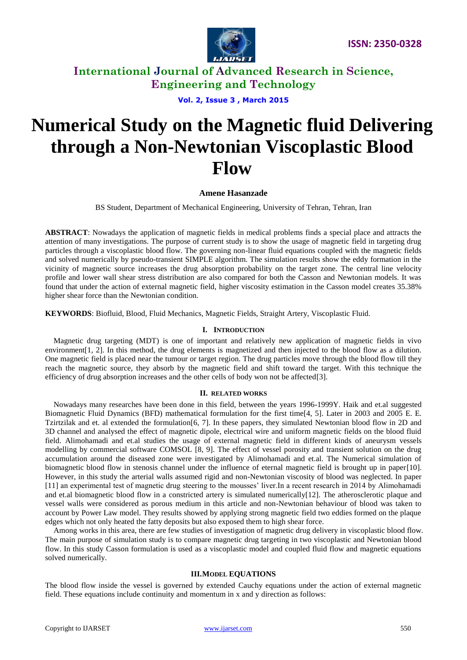

**Vol. 2, Issue 3 , March 2015**

# **Numerical Study on the Magnetic fluid Delivering through a Non-Newtonian Viscoplastic Blood Flow**

### **Amene Hasanzade**

BS Student, Department of Mechanical Engineering, University of Tehran, Tehran, Iran

**ABSTRACT**: Nowadays the application of magnetic fields in medical problems finds a special place and attracts the attention of many investigations. The purpose of current study is to show the usage of magnetic field in targeting drug particles through a viscoplastic blood flow. The governing non-linear fluid equations coupled with the magnetic fields and solved numerically by pseudo-transient SIMPLE algorithm. The simulation results show the eddy formation in the vicinity of magnetic source increases the drug absorption probability on the target zone. The central line velocity profile and lower wall shear stress distribution are also compared for both the Casson and Newtonian models. It was found that under the action of external magnetic field, higher viscosity estimation in the Casson model creates 35.38% higher shear force than the Newtonian condition.

**KEYWORDS**: Biofluid, Blood, Fluid Mechanics, Magnetic Fields, Straight Artery, Viscoplastic Fluid.

### **I. INTRODUCTION**

Magnetic drug targeting (MDT) is one of important and relatively new application of magnetic fields in vivo environment [\[1,](#page-5-0) [2\]](#page-5-1). In this method, the drug elements is magnetized and then injected to the blood flow as a dilution. One magnetic field is placed near the tumour or target region. The drug particles move through the blood flow till they reach the magnetic source, they absorb by the magnetic field and shift toward the target. With this technique the efficiency of drug absorption increases and the other cells of body won not be affected[\[3\]](#page-6-0).

#### **II. RELATED WORKS**

Nowadays many researches have been done in this field, between the years 1996-1999Y. Haik and et.al suggested Biomagnetic Fluid Dynamics (BFD) mathematical formulation for the first time[\[4,](#page-6-1) [5\]](#page-6-2). Later in 2003 and 2005 E. E. Tzirtzilak and et. al extended the formulation[\[6,](#page-6-3) [7\]](#page-6-4). In these papers, they simulated Newtonian blood flow in 2D and 3D channel and analysed the effect of magnetic dipole, electrical wire and uniform magnetic fields on the blood fluid field. Alimohamadi and et.al studies the usage of external magnetic field in different kinds of aneurysm vessels modelling by commercial software COMSOL [\[8,](#page-6-5) [9\]](#page-6-6). The effect of vessel porosity and transient solution on the drug accumulation around the diseased zone were investigated by Alimohamadi and et.al. The Numerical simulation of biomagnetic blood flow in stenosis channel under the influence of eternal magnetic field is brought up in paper[\[10\]](#page-6-7). However, in this study the arterial walls assumed rigid and non-Newtonian viscosity of blood was neglected. In paper [\[11\]](#page-6-8) an experimental test of magnetic drug steering to the mousses' liver.In a recent research in 2014 by Alimohamadi and et.al biomagnetic blood flow in a constricted artery is simulated numerically $[12]$ . The atherosclerotic plaque and vessel walls were considered as porous medium in this article and non-Newtonian behaviour of blood was taken to account by Power Law model. They results showed by applying strong magnetic field two eddies formed on the plaque edges which not only heated the fatty deposits but also exposed them to high shear force.

Among works in this area, there are few studies of investigation of magnetic drug delivery in viscoplastic blood flow. The main purpose of simulation study is to compare magnetic drug targeting in two viscoplastic and Newtonian blood flow. In this study Casson formulation is used as a viscoplastic model and coupled fluid flow and magnetic equations solved numerically.

#### **III.MODEL EQUATIONS**

The blood flow inside the vessel is governed by extended Cauchy equations under the action of external magnetic field. These equations include continuity and momentum in x and y direction as follows: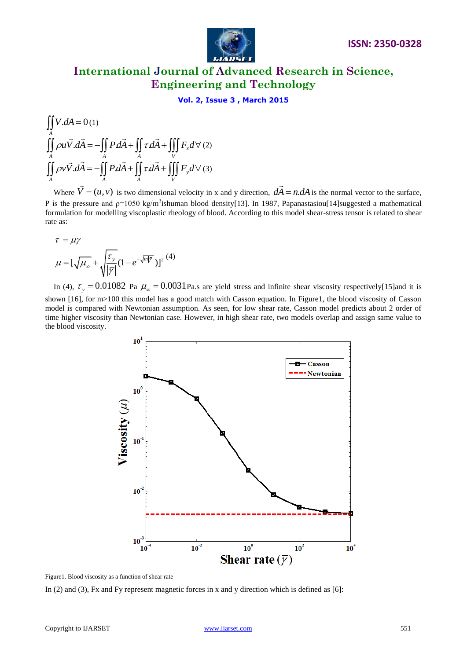

### **Vol. 2, Issue 3 , March 2015**

$$
\iint_{A} V.dA = 0(1)
$$
\n
$$
\iint_{A} \rho u \vec{V} \cdot d\vec{A} = -\iint_{A} P d\vec{A} + \iint_{A} \tau d\vec{A} + \iiint_{V} F_x d\forall (2)
$$
\n
$$
\iint_{A} \rho v \vec{V} \cdot d\vec{A} = -\iint_{A} P d\vec{A} + \iint_{A} \tau d\vec{A} + \iiint_{V} F_y d\forall (3)
$$

Where  $\overline{V} = (u, v)$ is two dimensional velocity in x and y direction,  $d\vec{A} = n dA$  $\overline{\phantom{a}}$ is the normal vector to the surface, P is the pressure and  $p=1050 \text{ kg/m}^3$ ishuman blood density[\[13\]](#page-6-10). In 1987, Papanastasiou[\[14\]](#page-6-11)suggested a mathematical formulation for modelling viscoplastic rheology of blood. According to this model shear-stress tensor is related to shear rate as:

$$
\overline{\tau}=\mu\overline{\gamma}
$$

$$
\mu = \left[\sqrt{\mu_{\infty}} + \sqrt{\frac{\tau_{y}}{|\overline{\gamma}|}} (1 - e^{-\sqrt{m|\overline{\gamma}|}})\right]^{2}} (4)
$$

In (4),  $\tau_y = 0.01082$  Pa  $\mu_\infty = 0.0031$  Pa.s are yield stress and infinite shear viscosity respectively[\[15\]](#page-6-12)and it is

shown [\[16\]](#page-6-13), for m>100 this model has a good match with Casson equation. In Figure1, the blood viscosity of Casson model is compared with Newtonian assumption. As seen, for low shear rate, Casson model predicts about 2 order of time higher viscosity than Newtonian case. However, in high shear rate, two models overlap and assign same value to the blood viscosity.



Figure1. Blood viscosity as a function of shear rate

In (2) and (3), Fx and Fy represent magnetic forces in x and y direction which is defined as [6]: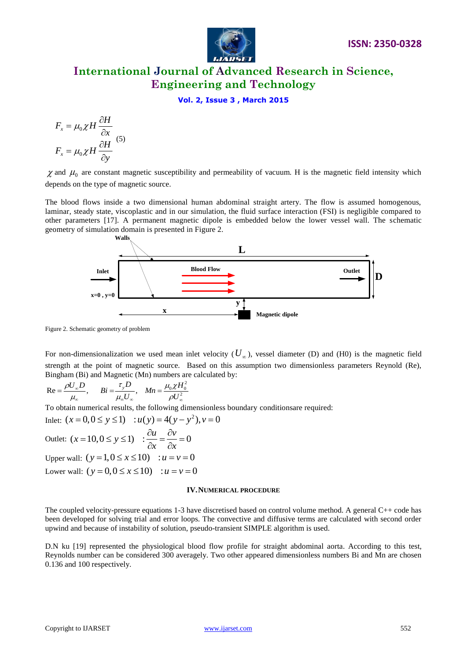

**Vol. 2, Issue 3 , March 2015**

$$
F_x = \mu_0 \chi H \frac{\partial H}{\partial x}
$$
  

$$
F_x = \mu_0 \chi H \frac{\partial H}{\partial y}
$$
 (5)

 $\chi$  and  $\mu_0$  are constant magnetic susceptibility and permeability of vacuum. H is the magnetic field intensity which depends on the type of magnetic source.

The blood flows inside a two dimensional human abdominal straight artery. The flow is assumed homogenous, laminar, steady state, viscoplastic and in our simulation, the fluid surface interaction (FSI) is negligible compared to other parameters [17]. A permanent magnetic dipole is embedded below the lower vessel wall. The schematic geometry of simulation domain is presented in Figure 2.



Figure 2. Schematic geometry of problem

For non-dimensionalization we used mean inlet velocity  $(U_\infty)$ , vessel diameter (D) and (H0) is the magnetic field strength at the point of magnetic source. Based on this assumption two dimensionless parameters Reynold (Re),

Bingham (Bi) and Magnetic (Mn) numbers are calculated by:  
\n
$$
\text{Re} = \frac{\rho U_{\infty} D}{\mu_{\infty}}, \qquad \text{Bi} = \frac{\tau_{y} D}{\mu_{\infty} U_{\infty}}, \quad \text{Mn} = \frac{\mu_{0} \chi H_{0}^{2}}{\rho U_{\infty}^{2}}
$$

To obtain numerical results, the following dimensionless boundary conditionsare required:<br>Inlet:  $(x = 0, 0 \le y \le 1)$  :  $u(y) = 4(y - y^2), v = 0$ 

Inlet: 
$$
(x = 0, 0 \le y \le 1)
$$
 :  $u(y) = 4(y - y^2)$ ,  $v$   
\nOutlet:  $(x = 10, 0 \le y \le 1)$  :  $\frac{\partial u}{\partial x} = \frac{\partial v}{\partial x} = 0$   
\nUpper wall:  $(y = 1, 0 \le x \le 10)$  :  $u = v = 0$   
\nLower wall:  $(y = 0, 0 \le x \le 10)$  :  $u = v = 0$ 

#### **IV.NUMERICAL PROCEDURE**

The coupled velocity-pressure equations 1-3 have discretised based on control volume method. A general C++ code has been developed for solving trial and error loops. The convective and diffusive terms are calculated with second order upwind and because of instability of solution, pseudo-transient SIMPLE algorithm is used.

D.N ku [19] represented the physiological blood flow profile for straight abdominal aorta. According to this test, Reynolds number can be considered 300 averagely. Two other appeared dimensionless numbers Bi and Mn are chosen 0.136 and 100 respectively.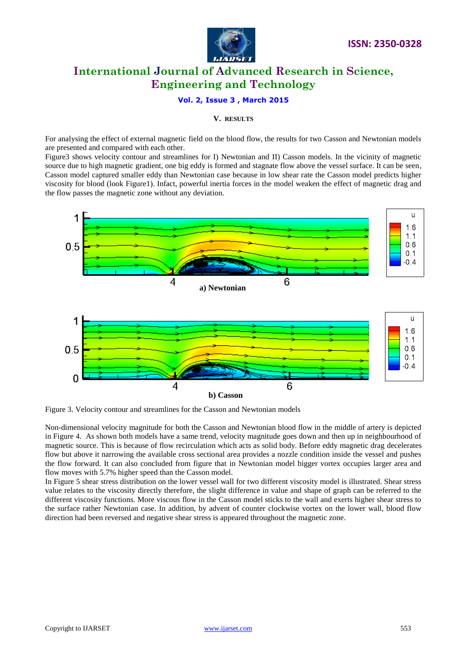

### **Vol. 2, Issue 3 , March 2015**

### **V. RESULTS**

For analysing the effect of external magnetic field on the blood flow, the results for two Casson and Newtonian models are presented and compared with each other.

Figure3 shows velocity contour and streamlines for I) Newtonian and II) Casson models. In the vicinity of magnetic source due to high magnetic gradient, one big eddy is formed and stagnate flow above the vessel surface. It can be seen, Casson model captured smaller eddy than Newtonian case because in low shear rate the Casson model predicts higher viscosity for blood (look Figure1). Infact, powerful inertia forces in the model weaken the effect of magnetic drag and the flow passes the magnetic zone without any deviation.



Figure 3. Velocity contour and streamlines for the Casson and Newtonian models

Non-dimensional velocity magnitude for both the Casson and Newtonian blood flow in the middle of artery is depicted in Figure 4. As shown both models have a same trend, velocity magnitude goes down and then up in neighbourhood of magnetic source. This is because of flow recirculation which acts as solid body. Before eddy magnetic drag decelerates flow but above it narrowing the available cross sectional area provides a nozzle condition inside the vessel and pushes the flow forward. It can also concluded from figure that in Newtonian model bigger vortex occupies larger area and flow moves with 5.7% higher speed than the Casson model.

In Figure 5 shear stress distribution on the lower vessel wall for two different viscosity model is illustrated. Shear stress value relates to the viscosity directly therefore, the slight difference in value and shape of graph can be referred to the different viscosity functions. More viscous flow in the Casson model sticks to the wall and exerts higher shear stress to the surface rather Newtonian case. In addition, by advent of counter clockwise vortex on the lower wall, blood flow direction had been reversed and negative shear stress is appeared throughout the magnetic zone.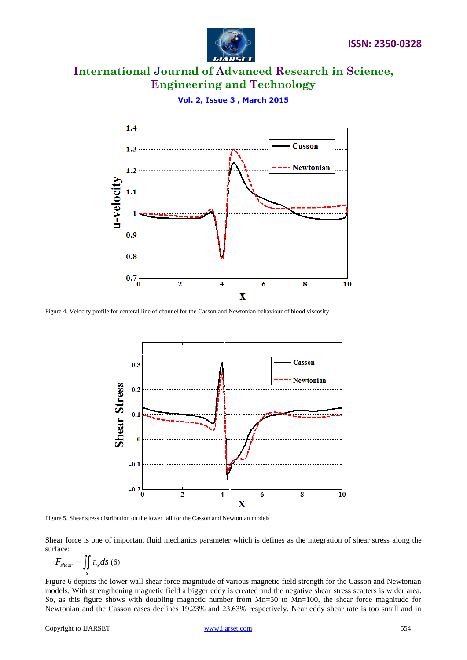



**Vol. 2, Issue 3 , March 2015**

Figure 4. Velocity profile for centeral line of channel for the Casson and Newtonian behaviour of blood viscosity



Figure 5. Shear stress distribution on the lower fall for the Casson and Newtonian models

Shear force is one of important fluid mechanics parameter which is defines as the integration of shear stress along the surface:

$$
F_{shear} = \iint\limits_{s} \tau_w ds \ (6)
$$

Figure 6 depicts the lower wall shear force magnitude of various magnetic field strength for the Casson and Newtonian models. With strengthening magnetic field a bigger eddy is created and the negative shear stress scatters is wider area. So, as this figure shows with doubling magnetic number from Mn=50 to Mn=100, the shear force magnitude for Newtonian and the Casson cases declines 19.23% and 23.63% respectively. Near eddy shear rate is too small and in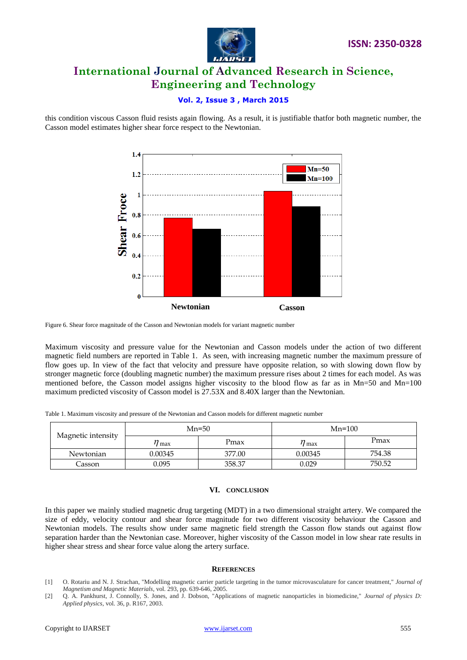

### **Vol. 2, Issue 3 , March 2015**

this condition viscous Casson fluid resists again flowing. As a result, it is justifiable thatfor both magnetic number, the Casson model estimates higher shear force respect to the Newtonian.



Figure 6. Shear force magnitude of the Casson and Newtonian models for variant magnetic number

Maximum viscosity and pressure value for the Newtonian and Casson models under the action of two different magnetic field numbers are reported in Table 1. As seen, with increasing magnetic number the maximum pressure of flow goes up. In view of the fact that velocity and pressure have opposite relation, so with slowing down flow by stronger magnetic force (doubling magnetic number) the maximum pressure rises about 2 times for each model. As was mentioned before, the Casson model assigns higher viscosity to the blood flow as far as in Mn=50 and Mn=100 maximum predicted viscosity of Casson model is 27.53X and 8.40X larger than the Newtonian.

Table 1. Maximum viscosity and pressure of the Newtonian and Casson models for different magnetic number

| Magnetic intensity | $Mn=50$ |        | $Mn=100$              |        |
|--------------------|---------|--------|-----------------------|--------|
|                    | / max   | Pmax   | $\eta_{\,\text{max}}$ | Pmax   |
| Newtonian          | 0.00345 | 377.00 | 0.00345               | 754.38 |
| Casson             | 0.095   | 358.37 | 0.029                 | 750.52 |

#### **VI. CONCLUSION**

In this paper we mainly studied magnetic drug targeting (MDT) in a two dimensional straight artery. We compared the size of eddy, velocity contour and shear force magnitude for two different viscosity behaviour the Casson and Newtonian models. The results show under same magnetic field strength the Casson flow stands out against flow separation harder than the Newtonian case. Moreover, higher viscosity of the Casson model in low shear rate results in higher shear stress and shear force value along the artery surface.

#### **REFERENCES**

- <span id="page-5-0"></span>[1] O. Rotariu and N. J. Strachan, "Modelling magnetic carrier particle targeting in the tumor microvasculature for cancer treatment," *Journal of Magnetism and Magnetic Materials,* vol. 293, pp. 639-646, 2005.
- <span id="page-5-1"></span>[2] Q. A. Pankhurst, J. Connolly, S. Jones, and J. Dobson, "Applications of magnetic nanoparticles in biomedicine," *Journal of physics D: Applied physics,* vol. 36, p. R167, 2003.